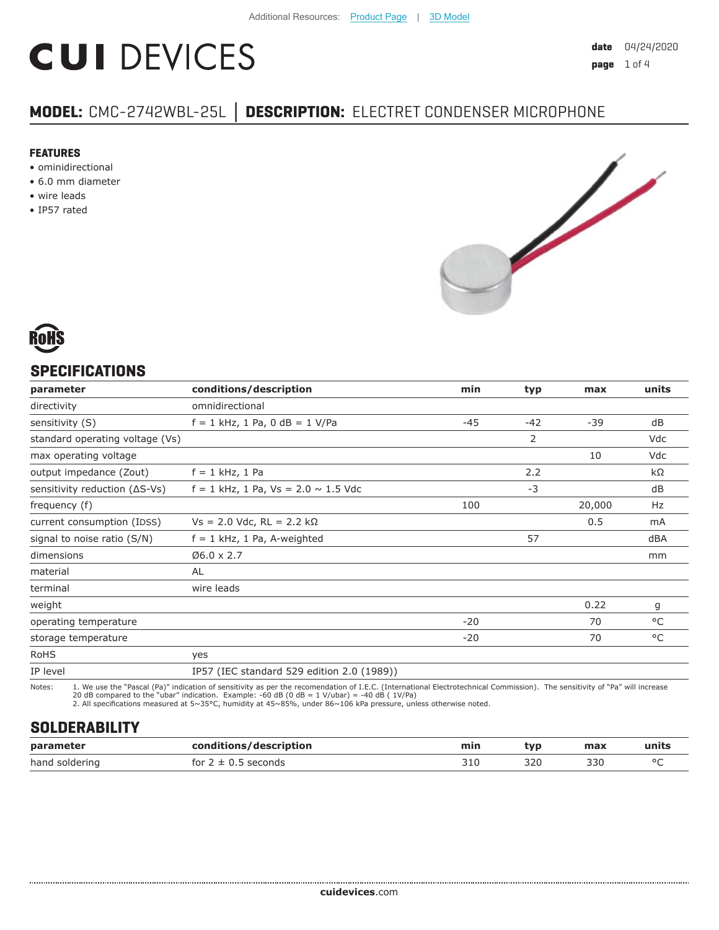# **CUI DEVICES**

#### **FEATURES**

- ominidirectional
- 6.0 mm diameter
- wire leads
- IP57 rated



### **SPECIFICATIONS**

| parameter                               | conditions/description                     | min   | typ            | max    | units |
|-----------------------------------------|--------------------------------------------|-------|----------------|--------|-------|
| directivity                             | omnidirectional                            |       |                |        |       |
| sensitivity (S)                         | $f = 1$ kHz, 1 Pa, 0 dB = 1 V/Pa           | $-45$ | $-42$          | $-39$  | dB    |
| standard operating voltage (Vs)         |                                            |       | $\overline{2}$ |        | Vdc   |
| max operating voltage                   |                                            |       |                | 10     | Vdc   |
| output impedance (Zout)                 | $f = 1$ kHz, 1 Pa                          |       | 2.2            |        | kΩ    |
| sensitivity reduction $( \Delta S$ -Vs) | $f = 1$ kHz, 1 Pa, Vs = 2.0 $\sim$ 1.5 Vdc |       | -3             |        | dB    |
| frequency (f)                           |                                            | 100   |                | 20,000 | Hz    |
| current consumption (IDSS)              | $Vs = 2.0$ Vdc, RL = 2.2 kΩ                |       |                | 0.5    | mA    |
| signal to noise ratio (S/N)             | $f = 1$ kHz, 1 Pa, A-weighted              |       | 57             |        | dBA   |
| dimensions                              | $Ø6.0 \times 2.7$                          |       |                |        | mm    |
| material                                | <b>AL</b>                                  |       |                |        |       |
| terminal                                | wire leads                                 |       |                |        |       |
| weight                                  |                                            |       |                | 0.22   | g     |
| operating temperature                   |                                            | $-20$ |                | 70     | °C    |
| storage temperature                     |                                            | $-20$ |                | 70     | °C    |
| <b>RoHS</b>                             | yes                                        |       |                |        |       |
| IP level                                | IP57 (IEC standard 529 edition 2.0 (1989)) |       |                |        |       |

Notes: 1. We use the "Pascal (Pa)" indication of sensitivity as per the recomendation of I.E.C. (International Electrotechnical Commission). The sensitivity of "Pa" will increase<br>20 dB compared to the "ubar" indica

## **SOLDERABILITY**

| parameter      | conditions/description | min | <b>typ</b>          | max | units   |
|----------------|------------------------|-----|---------------------|-----|---------|
| hand soldering | econds?<br>tor         | JIL | 320.<br>ンムい<br>$ -$ | 330 | $\circ$ |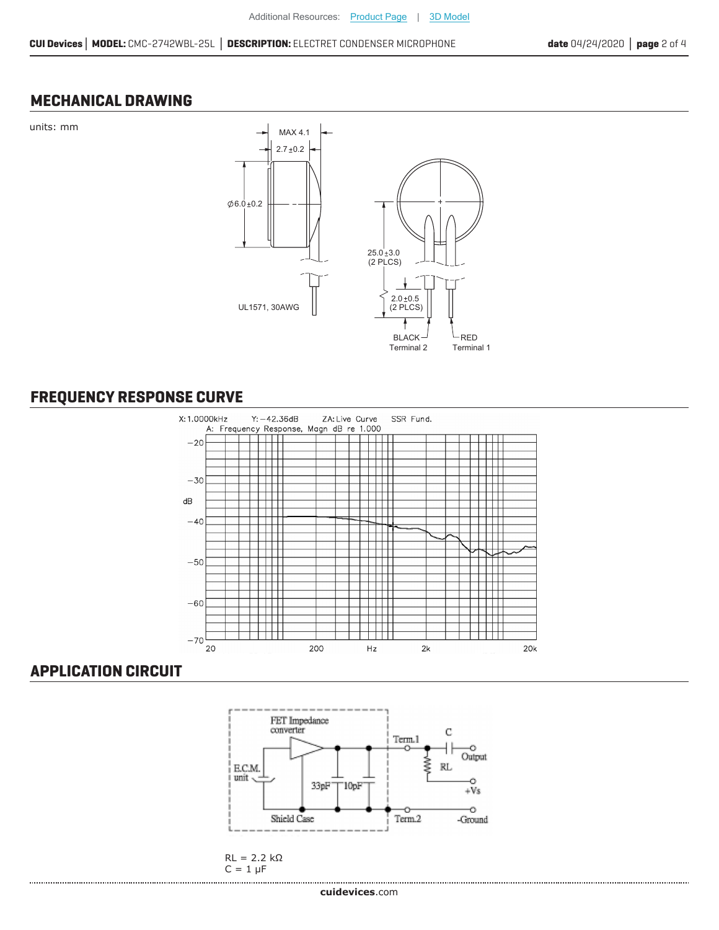#### **MECHANICAL DRAWING**



## **FREQUENCY RESPONSE CURVE**



#### **APPLICATION CIRCUIT**



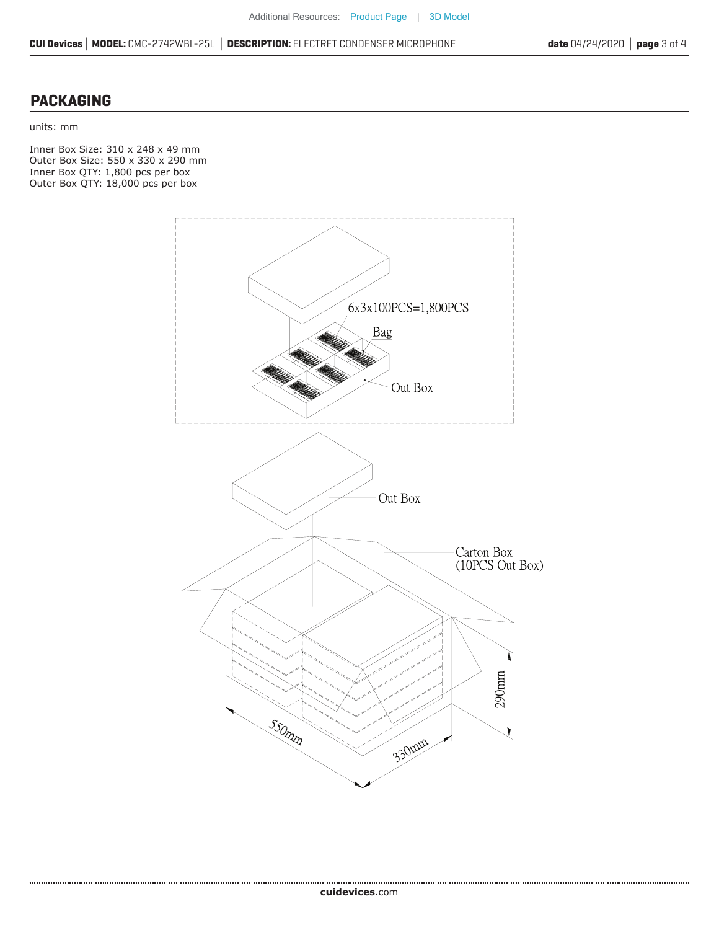#### **PACKAGING**

.....................................

units: mm

Inner Box Size: 310 x 248 x 49 mm Outer Box Size: 550 x 330 x 290 mm Inner Box QTY: 1,800 pcs per box Outer Box QTY: 18,000 pcs per box